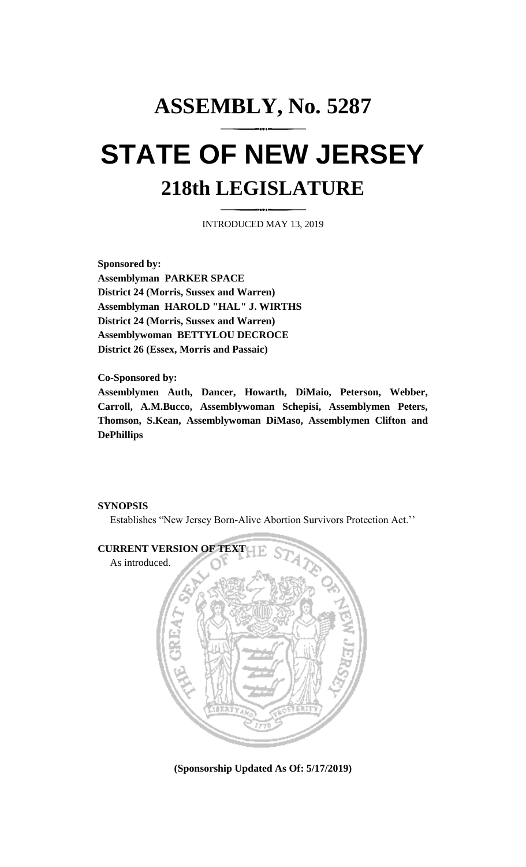## **ASSEMBLY, No. 5287 STATE OF NEW JERSEY 218th LEGISLATURE**

INTRODUCED MAY 13, 2019

**Sponsored by: Assemblyman PARKER SPACE District 24 (Morris, Sussex and Warren) Assemblyman HAROLD "HAL" J. WIRTHS District 24 (Morris, Sussex and Warren) Assemblywoman BETTYLOU DECROCE District 26 (Essex, Morris and Passaic)**

**Co-Sponsored by:**

**Assemblymen Auth, Dancer, Howarth, DiMaio, Peterson, Webber, Carroll, A.M.Bucco, Assemblywoman Schepisi, Assemblymen Peters, Thomson, S.Kean, Assemblywoman DiMaso, Assemblymen Clifton and DePhillips**

## **SYNOPSIS**

Establishes "New Jersey Born-Alive Abortion Survivors Protection Act.''



**(Sponsorship Updated As Of: 5/17/2019)**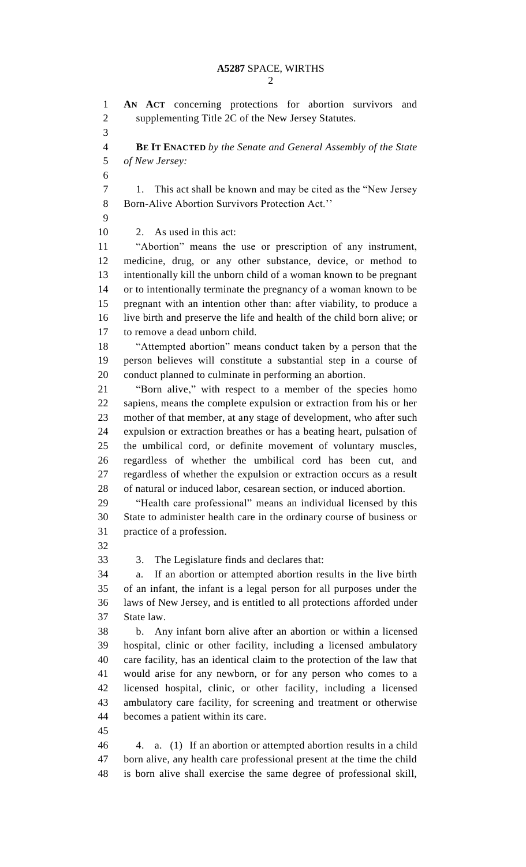**AN ACT** concerning protections for abortion survivors and supplementing Title 2C of the New Jersey Statutes. **BE IT ENACTED** *by the Senate and General Assembly of the State of New Jersey:* 1. This act shall be known and may be cited as the "New Jersey Born-Alive Abortion Survivors Protection Act.'' 2. As used in this act: "Abortion" means the use or prescription of any instrument, medicine, drug, or any other substance, device, or method to intentionally kill the unborn child of a woman known to be pregnant or to intentionally terminate the pregnancy of a woman known to be pregnant with an intention other than: after viability, to produce a live birth and preserve the life and health of the child born alive; or to remove a dead unborn child. "Attempted abortion" means conduct taken by a person that the person believes will constitute a substantial step in a course of conduct planned to culminate in performing an abortion. "Born alive," with respect to a member of the species homo sapiens, means the complete expulsion or extraction from his or her mother of that member, at any stage of development, who after such expulsion or extraction breathes or has a beating heart, pulsation of the umbilical cord, or definite movement of voluntary muscles, regardless of whether the umbilical cord has been cut, and regardless of whether the expulsion or extraction occurs as a result of natural or induced labor, cesarean section, or induced abortion. "Health care professional" means an individual licensed by this State to administer health care in the ordinary course of business or practice of a profession. 3. The Legislature finds and declares that: a. If an abortion or attempted abortion results in the live birth of an infant, the infant is a legal person for all purposes under the laws of New Jersey, and is entitled to all protections afforded under State law. b. Any infant born alive after an abortion or within a licensed hospital, clinic or other facility, including a licensed ambulatory care facility, has an identical claim to the protection of the law that would arise for any newborn, or for any person who comes to a licensed hospital, clinic, or other facility, including a licensed ambulatory care facility, for screening and treatment or otherwise becomes a patient within its care. 4. a. (1) If an abortion or attempted abortion results in a child born alive, any health care professional present at the time the child is born alive shall exercise the same degree of professional skill,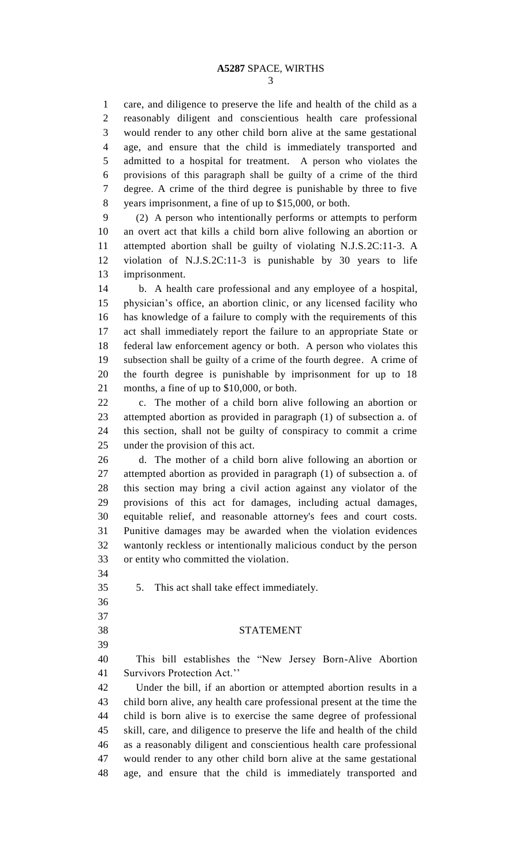care, and diligence to preserve the life and health of the child as a reasonably diligent and conscientious health care professional would render to any other child born alive at the same gestational age, and ensure that the child is immediately transported and admitted to a hospital for treatment. A person who violates the provisions of this paragraph shall be guilty of a crime of the third degree. A crime of the third degree is punishable by three to five years imprisonment, a fine of up to \$15,000, or both.

 (2) A person who intentionally performs or attempts to perform an overt act that kills a child born alive following an abortion or attempted abortion shall be guilty of violating N.J.S.2C:11-3. A violation of N.J.S.2C:11-3 is punishable by 30 years to life imprisonment.

 b. A health care professional and any employee of a hospital, physician's office, an abortion clinic, or any licensed facility who has knowledge of a failure to comply with the requirements of this act shall immediately report the failure to an appropriate State or federal law enforcement agency or both. A person who violates this subsection shall be guilty of a crime of the fourth degree. A crime of the fourth degree is punishable by imprisonment for up to 18 months, a fine of up to \$10,000, or both.

 c. The mother of a child born alive following an abortion or attempted abortion as provided in paragraph (1) of subsection a. of this section, shall not be guilty of conspiracy to commit a crime under the provision of this act.

 d. The mother of a child born alive following an abortion or attempted abortion as provided in paragraph (1) of subsection a. of this section may bring a civil action against any violator of the provisions of this act for damages, including actual damages, equitable relief, and reasonable attorney's fees and court costs. Punitive damages may be awarded when the violation evidences wantonly reckless or intentionally malicious conduct by the person or entity who committed the violation.

5. This act shall take effect immediately.

- 
- 
- 

STATEMENT

 This bill establishes the "New Jersey Born-Alive Abortion Survivors Protection Act.''

 Under the bill, if an abortion or attempted abortion results in a child born alive, any health care professional present at the time the child is born alive is to exercise the same degree of professional skill, care, and diligence to preserve the life and health of the child as a reasonably diligent and conscientious health care professional would render to any other child born alive at the same gestational age, and ensure that the child is immediately transported and